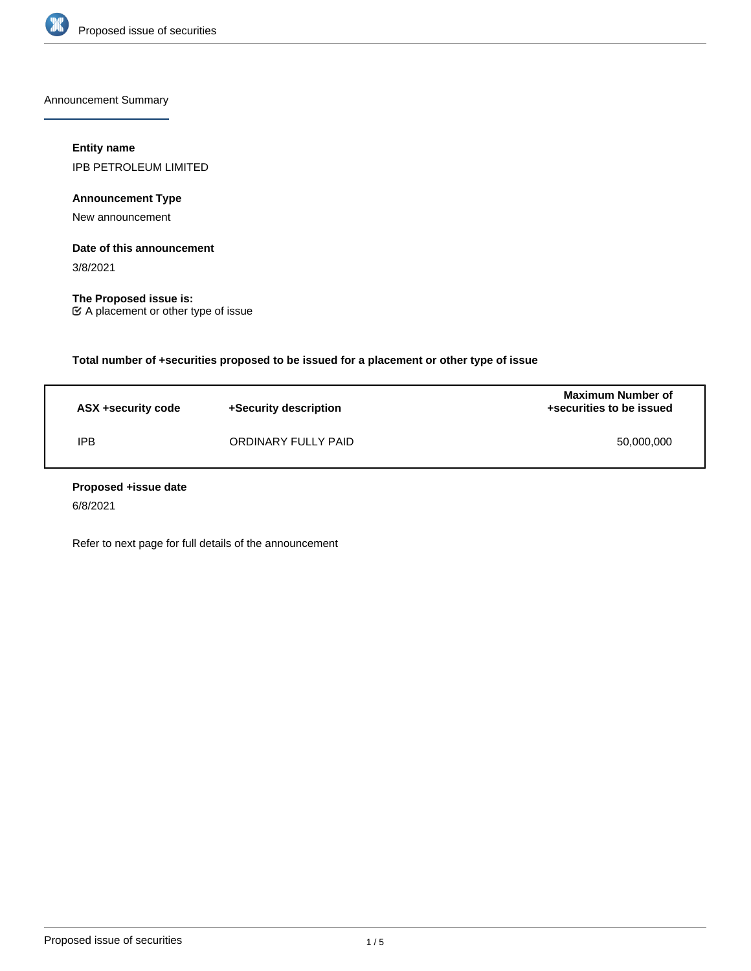

Announcement Summary

## **Entity name**

IPB PETROLEUM LIMITED

**Announcement Type**

New announcement

# **Date of this announcement**

3/8/2021

**The Proposed issue is:** A placement or other type of issue

**Total number of +securities proposed to be issued for a placement or other type of issue**

| ASX +security code | +Security description | <b>Maximum Number of</b><br>+securities to be issued |
|--------------------|-----------------------|------------------------------------------------------|
| IPB                | ORDINARY FULLY PAID   | 50,000,000                                           |

## **Proposed +issue date**

6/8/2021

Refer to next page for full details of the announcement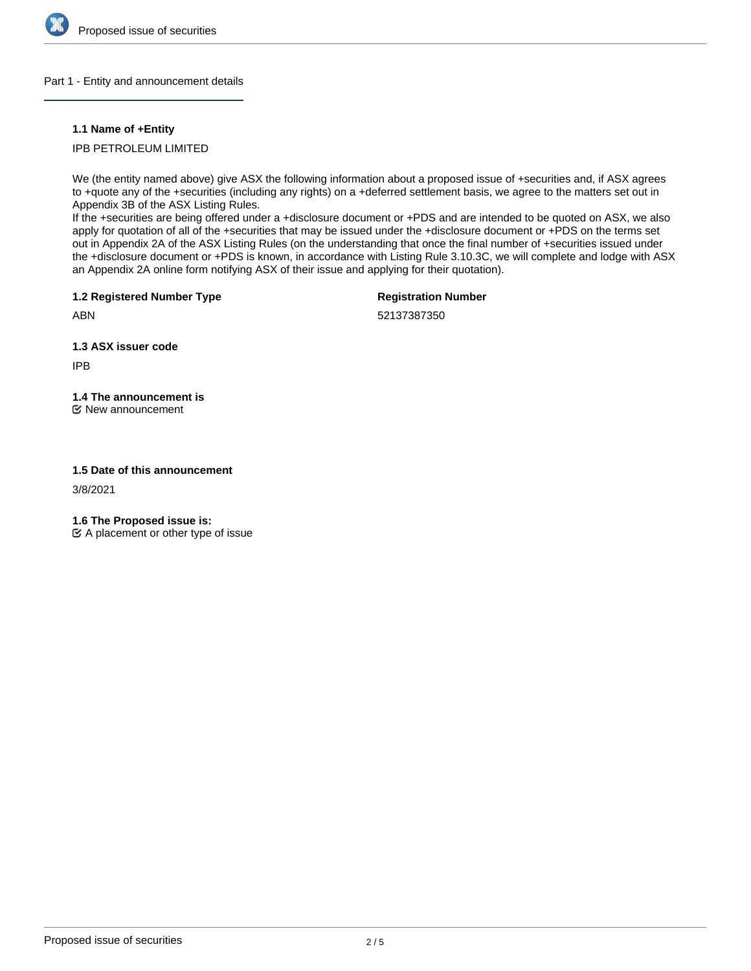

## Part 1 - Entity and announcement details

## **1.1 Name of +Entity**

IPB PETROLEUM LIMITED

We (the entity named above) give ASX the following information about a proposed issue of +securities and, if ASX agrees to +quote any of the +securities (including any rights) on a +deferred settlement basis, we agree to the matters set out in Appendix 3B of the ASX Listing Rules.

If the +securities are being offered under a +disclosure document or +PDS and are intended to be quoted on ASX, we also apply for quotation of all of the +securities that may be issued under the +disclosure document or +PDS on the terms set out in Appendix 2A of the ASX Listing Rules (on the understanding that once the final number of +securities issued under the +disclosure document or +PDS is known, in accordance with Listing Rule 3.10.3C, we will complete and lodge with ASX an Appendix 2A online form notifying ASX of their issue and applying for their quotation).

**1.2 Registered Number Type**

**Registration Number**

52137387350

**1.3 ASX issuer code**

IPB

ABN

# **1.4 The announcement is**

New announcement

## **1.5 Date of this announcement**

3/8/2021

**1.6 The Proposed issue is:**

 $\mathfrak{C}$  A placement or other type of issue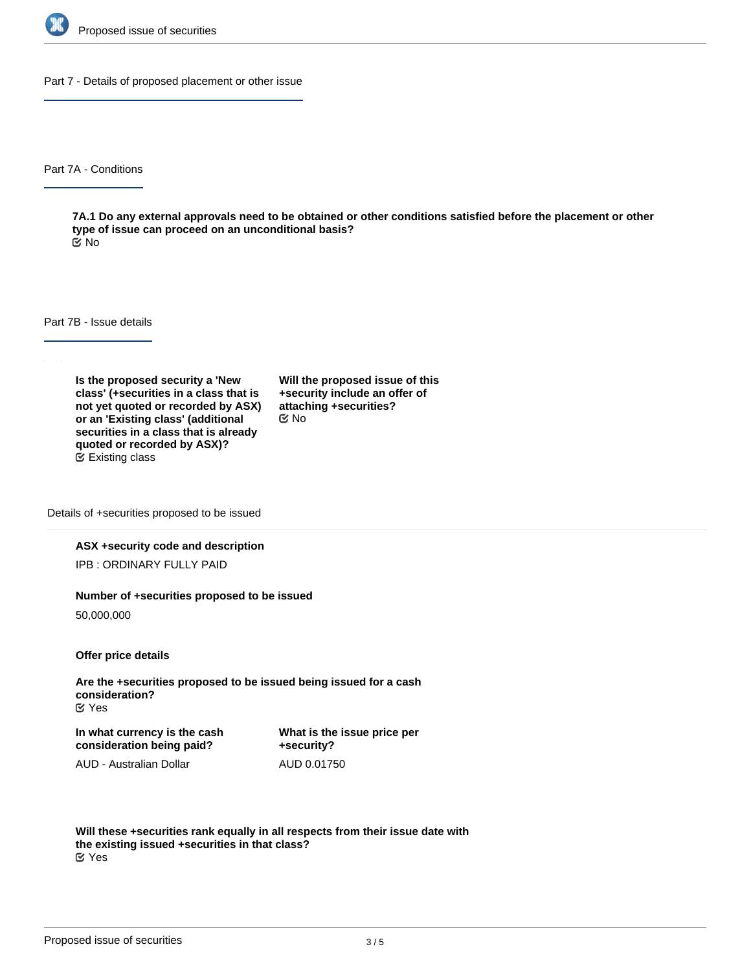

Part 7 - Details of proposed placement or other issue

Part 7A - Conditions

**7A.1 Do any external approvals need to be obtained or other conditions satisfied before the placement or other type of issue can proceed on an unconditional basis?** No

Part 7B - Issue details

**Is the proposed security a 'New class' (+securities in a class that is not yet quoted or recorded by ASX) or an 'Existing class' (additional securities in a class that is already quoted or recorded by ASX)?** Existing class

**Will the proposed issue of this +security include an offer of attaching +securities?** No

Details of +securities proposed to be issued

## **ASX +security code and description**

IPB : ORDINARY FULLY PAID

#### **Number of +securities proposed to be issued**

50,000,000

**Offer price details**

**Are the +securities proposed to be issued being issued for a cash consideration?** Yes

**In what currency is the cash consideration being paid?**

AUD - Australian Dollar

**What is the issue price per +security?** AUD 0.01750

**Will these +securities rank equally in all respects from their issue date with the existing issued +securities in that class?** Yes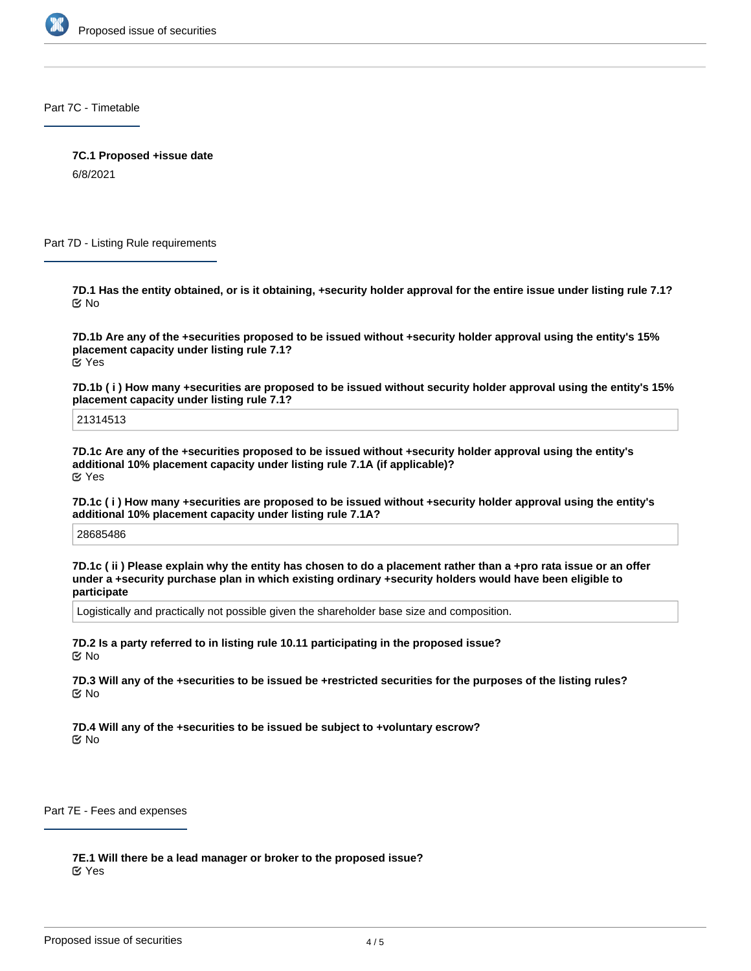

Part 7C - Timetable

**7C.1 Proposed +issue date**

6/8/2021

Part 7D - Listing Rule requirements

**7D.1 Has the entity obtained, or is it obtaining, +security holder approval for the entire issue under listing rule 7.1?** No

**7D.1b Are any of the +securities proposed to be issued without +security holder approval using the entity's 15% placement capacity under listing rule 7.1?** Yes

**7D.1b ( i ) How many +securities are proposed to be issued without security holder approval using the entity's 15% placement capacity under listing rule 7.1?**

21314513

**7D.1c Are any of the +securities proposed to be issued without +security holder approval using the entity's additional 10% placement capacity under listing rule 7.1A (if applicable)?** Yes

**7D.1c ( i ) How many +securities are proposed to be issued without +security holder approval using the entity's additional 10% placement capacity under listing rule 7.1A?**

28685486

**7D.1c ( ii ) Please explain why the entity has chosen to do a placement rather than a +pro rata issue or an offer under a +security purchase plan in which existing ordinary +security holders would have been eligible to participate**

Logistically and practically not possible given the shareholder base size and composition.

**7D.2 Is a party referred to in listing rule 10.11 participating in the proposed issue?** No

**7D.3 Will any of the +securities to be issued be +restricted securities for the purposes of the listing rules?** No

**7D.4 Will any of the +securities to be issued be subject to +voluntary escrow?** No

Part 7E - Fees and expenses

**7E.1 Will there be a lead manager or broker to the proposed issue?** Yes